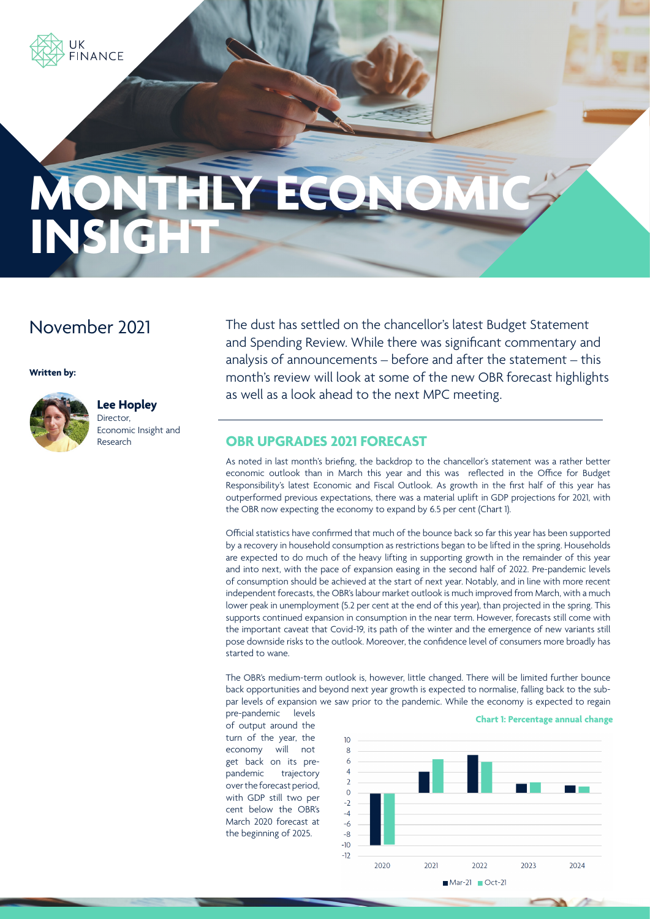

# THLY ECO. **INSIG**

## November 2021

#### **Written by:**



#### **Lee Hopley**

Director, Economic Insight and Research

The dust has settled on the chancellor's latest Budget Statement and Spending Review. While there was significant commentary and analysis of announcements – before and after the statement – this month's review will look at some of the new OBR forecast highlights as well as a look ahead to the next MPC meeting.

#### **OBR UPGRADES 2021 FORECAST**

As noted in last month's briefing, the backdrop to the chancellor's statement was a rather better economic outlook than in March this year and this was reflected in the Office for Budget Responsibility's latest Economic and Fiscal Outlook. As growth in the first half of this year has outperformed previous expectations, there was a material uplift in GDP projections for 2021, with the OBR now expecting the economy to expand by 6.5 per cent (Chart 1).

Official statistics have confirmed that much of the bounce back so far this year has been supported by a recovery in household consumption as restrictions began to be lifted in the spring. Households are expected to do much of the heavy lifting in supporting growth in the remainder of this year and into next, with the pace of expansion easing in the second half of 2022. Pre-pandemic levels of consumption should be achieved at the start of next year. Notably, and in line with more recent independent forecasts, the OBR's labour market outlook is much improved from March, with a much lower peak in unemployment (5.2 per cent at the end of this year), than projected in the spring. This supports continued expansion in consumption in the near term. However, forecasts still come with the important caveat that Covid-19, its path of the winter and the emergence of new variants still pose downside risks to the outlook. Moreover, the confidence level of consumers more broadly has started to wane.

The OBR's medium-term outlook is, however, little changed. There will be limited further bounce back opportunities and beyond next year growth is expected to normalise, falling back to the subpar levels of expansion we saw prior to the pandemic. While the economy is expected to regain

pre-pandemic levels of output around the turn of the year, the economy will not get back on its prepandemic trajectory over the forecast period, with GDP still two per cent below the OBR's March 2020 forecast at the beginning of 2025.

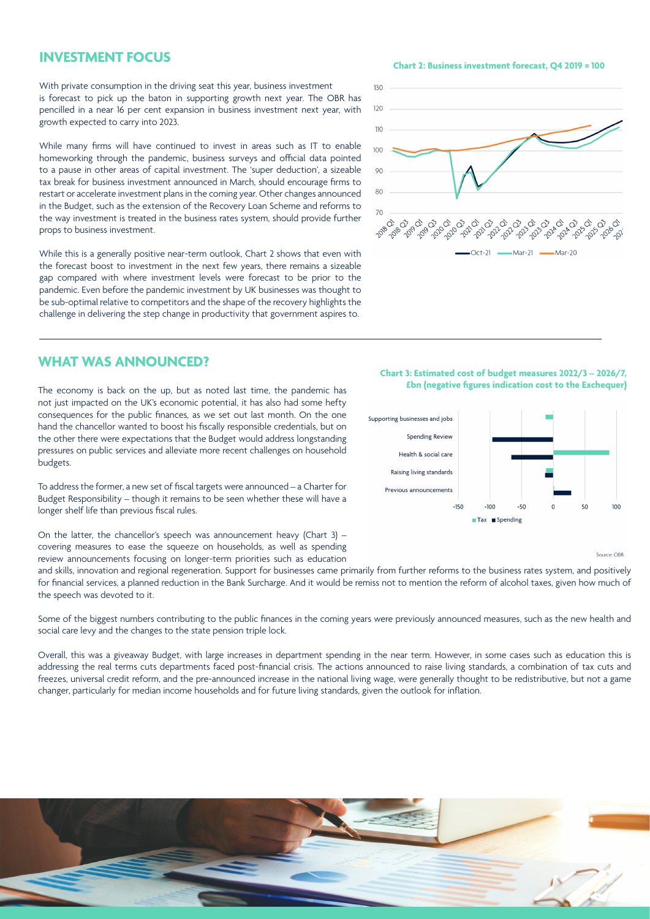#### **INVESTMENT FOCUS**

With private consumption in the driving seat this year, business investment is forecast to pick up the baton in supporting growth next year. The OBR has pencilled in a near 16 per cent expansion in business investment next year, with growth expected to carry into 2023.

While many firms will have continued to invest in areas such as IT to enable homeworking through the pandemic, business surveys and official data pointed to a pause in other areas of capital investment. The 'super deduction', a sizeable tax break for business investment announced in March, should encourage firms to restart or accelerate investment plans in the coming year. Other changes announced in the Budget, such as the extension of the Recovery Loan Scheme and reforms to the way investment is treated in the business rates system, should provide further props to business investment.

While this is a generally positive near-term outlook, Chart 2 shows that even with the forecast boost to investment in the next few years, there remains a sizeable gap compared with where investment levels were forecast to be prior to the pandemic. Even before the pandemic investment by UK businesses was thought to be sub-optimal relative to competitors and the shape of the recovery highlights the challenge in delivering the step change in productivity that government aspires to.

#### **WHAT WAS ANNOUNCED?**

The economy is back on the up, but as noted last time, the pandemic has not just impacted on the UK's economic potential, it has also had some hefty consequences for the public finances, as we set out last month. On the one hand the chancellor wanted to boost his fiscally responsible credentials, but on the other there were expectations that the Budget would address longstanding pressures on public services and alleviate more recent challenges on household budgets.

To address the former, a new set of fiscal targets were announced – a Charter for Budget Responsibility – though it remains to be seen whether these will have a longer shelf life than previous fiscal rules.

On the latter, the chancellor's speech was announcement heavy (Chart 3) – covering measures to ease the squeeze on households, as well as spending review announcements focusing on longer-term priorities such as education

and skills, innovation and regional regeneration. Support for businesses came primarily from further reforms to the business rates system, and positively for financial services, a planned reduction in the Bank Surcharge. And it would be remiss not to mention the reform of alcohol taxes, given how much of the speech was devoted to it.

Some of the biggest numbers contributing to the public finances in the coming years were previously announced measures, such as the new health and social care levy and the changes to the state pension triple lock.

Overall, this was a giveaway Budget, with large increases in department spending in the near term. However, in some cases such as education this is addressing the real terms cuts departments faced post-financial crisis. The actions announced to raise living standards, a combination of tax cuts and freezes, universal credit reform, and the pre-announced increase in the national living wage, were generally thought to be redistributive, but not a game changer, particularly for median income households and for future living standards, given the outlook for inflation.



**Chart 3: Estimated cost of budget measures 2022/3 – 2026/7, £bn (negative figures indication cost to the Exchequer)**





**Chart 2: Business investment forecast, Q4 2019 = 100**